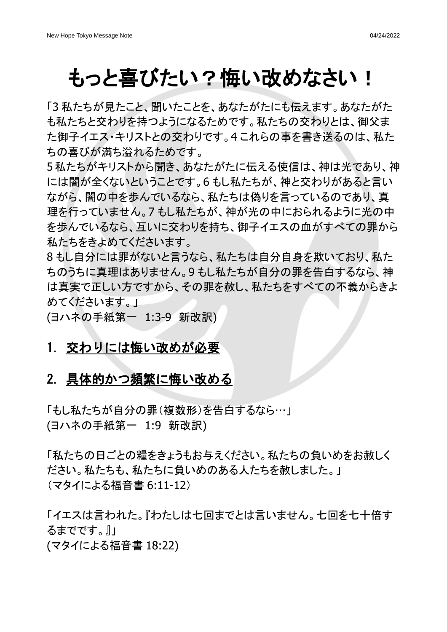# もっと喜びたい?悔い改めなさい!

「3 私たちが見たこと、聞いたことを、あなたがたにも伝えます。あなたがた も私たちと交わりを持つようになるためです。私たちの交わりとは、御父ま た御子イエス・キリストとの交わりです。4 これらの事を書き送るのは、私た ちの喜びが満ち溢れるためです。

5私たちがキリストから聞き、あなたがたに伝える使信は、神は光であり、神 には闇が全くないということです。6 もし私たちが、神と交わりがあると言い ながら、闇の中を歩んでいるなら、私たちは偽りを言っているのであり、真 理を行っていません。7 もし私たちが、神が光の中におられるように光の中 を歩んでいるなら、互いに交わりを持ち、御子イエスの血がすべての罪から 私たちをきよめてくださいます。

8 もし自分には罪がないと言うなら、私たちは自分自身を欺いており、私た ちのうちに真理はありません。9 もし私たちが自分の罪を告白するなら、神 は真実で正しい方ですから、その罪を赦し、私たちをすべての不義からきよ めてくださいます。」

(ヨハネの手紙第一 1:3-9 新改訳)

### 1. 交わりには悔い改めが必要

#### 2. 具体的かつ頻繁に悔い改める

「もし私たちが自分の罪(複数形)を告白するなら…」 (ヨハネの手紙第一 1:9 新改訳)

「私たちの日ごとの糧をきょうもお与えください。私たちの負いめをお赦しく ださい。私たちも、私たちに負いめのある人たちを赦しました。」 (マタイによる福音書 6:11-12)

「イエスは言われた。『わたしは七回までとは言いません。七回を七十倍す るまでです。』」

(マタイによる福音書 18:22)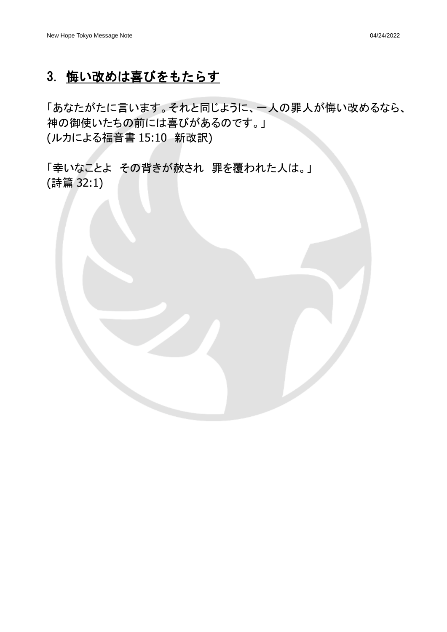### 3. 悔い改めは喜びをもたらす

「あなたがたに言います。それと同じように、一人の罪人が悔い改めるなら、 神の御使いたちの前には喜びがあるのです。」 (ルカによる福音書 15:10 新改訳)

「幸いなことよ その背きが赦され 罪を覆われた人は。」 (詩篇 32:1)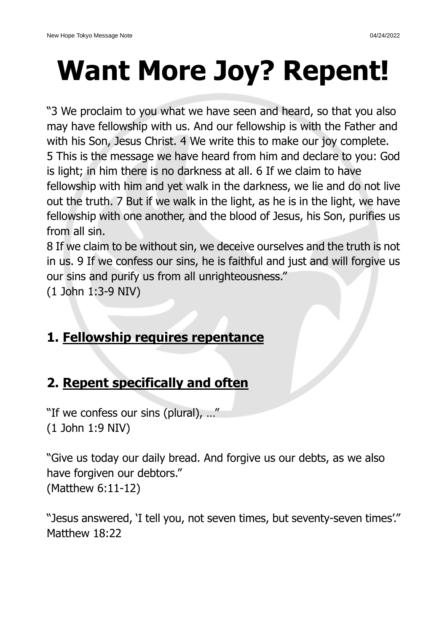# **Want More Joy? Repent!**

"3 We proclaim to you what we have seen and heard, so that you also may have fellowship with us. And our fellowship is with the Father and with his Son, Jesus Christ. 4 We write this to make our joy complete. 5 This is the message we have heard from him and declare to you: God is light; in him there is no darkness at all. 6 If we claim to have fellowship with him and yet walk in the darkness, we lie and do not live out the truth. 7 But if we walk in the light, as he is in the light, we have fellowship with one another, and the blood of Jesus, his Son, purifies us from all sin.

8 If we claim to be without sin, we deceive ourselves and the truth is not in us. 9 If we confess our sins, he is faithful and just and will forgive us our sins and purify us from all unrighteousness."

(1 John 1:3-9 NIV)

# **1. Fellowship requires repentance**

# **2. Repent specifically and often**

"If we confess our sins (plural), ..." (1 John 1:9 NIV)

"Give us today our daily bread. And forgive us our debts, as we also have forgiven our debtors." (Matthew 6:11-12)

"Jesus answered, 'I tell you, not seven times, but seventy-seven times'." Matthew 18:22